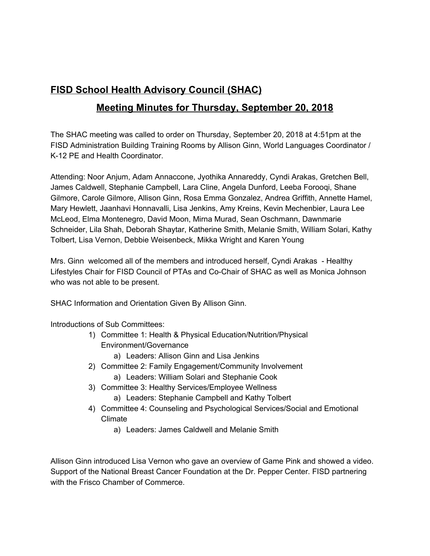## **FISD School Health Advisory Council (SHAC)**

## **Meeting Minutes for Thursday, September 20, 2018**

The SHAC meeting was called to order on Thursday, September 20, 2018 at 4:51pm at the FISD Administration Building Training Rooms by Allison Ginn, World Languages Coordinator / K-12 PE and Health Coordinator.

Attending: Noor Anjum, Adam Annaccone, Jyothika Annareddy, Cyndi Arakas, Gretchen Bell, James Caldwell, Stephanie Campbell, Lara Cline, Angela Dunford, Leeba Forooqi, Shane Gilmore, Carole Gilmore, Allison Ginn, Rosa Emma Gonzalez, Andrea Griffith, Annette Hamel, Mary Hewlett, Jaanhavi Honnavalli, Lisa Jenkins, Amy Kreins, Kevin Mechenbier, Laura Lee McLeod, Elma Montenegro, David Moon, Mirna Murad, Sean Oschmann, Dawnmarie Schneider, Lila Shah, Deborah Shaytar, Katherine Smith, Melanie Smith, William Solari, Kathy Tolbert, Lisa Vernon, Debbie Weisenbeck, Mikka Wright and Karen Young

Mrs. Ginn welcomed all of the members and introduced herself, Cyndi Arakas - Healthy Lifestyles Chair for FISD Council of PTAs and Co-Chair of SHAC as well as Monica Johnson who was not able to be present.

SHAC Information and Orientation Given By Allison Ginn.

Introductions of Sub Committees:

- 1) Committee 1: Health & Physical Education/Nutrition/Physical Environment/Governance
	- a) Leaders: Allison Ginn and Lisa Jenkins
- 2) Committee 2: Family Engagement/Community Involvement
	- a) Leaders: William Solari and Stephanie Cook
- 3) Committee 3: Healthy Services/Employee Wellness
	- a) Leaders: Stephanie Campbell and Kathy Tolbert
- 4) Committee 4: Counseling and Psychological Services/Social and Emotional Climate
	- a) Leaders: James Caldwell and Melanie Smith

Allison Ginn introduced Lisa Vernon who gave an overview of Game Pink and showed a video. Support of the National Breast Cancer Foundation at the Dr. Pepper Center. FISD partnering with the Frisco Chamber of Commerce.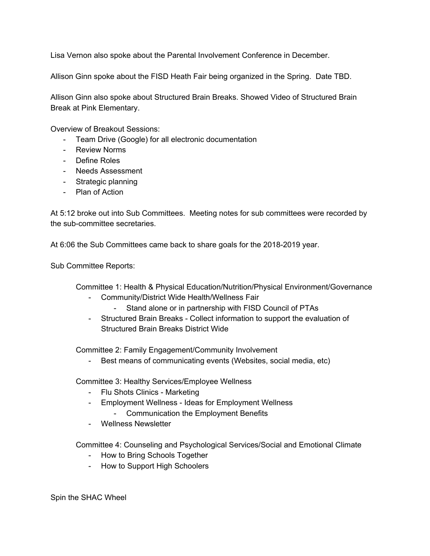Lisa Vernon also spoke about the Parental Involvement Conference in December.

Allison Ginn spoke about the FISD Heath Fair being organized in the Spring. Date TBD.

Allison Ginn also spoke about Structured Brain Breaks. Showed Video of Structured Brain Break at Pink Elementary.

Overview of Breakout Sessions:

- Team Drive (Google) for all electronic documentation
- Review Norms
- Define Roles
- Needs Assessment
- Strategic planning
- Plan of Action

At 5:12 broke out into Sub Committees. Meeting notes for sub committees were recorded by the sub-committee secretaries.

At 6:06 the Sub Committees came back to share goals for the 2018-2019 year.

Sub Committee Reports:

Committee 1: Health & Physical Education/Nutrition/Physical Environment/Governance

- Community/District Wide Health/Wellness Fair
	- Stand alone or in partnership with FISD Council of PTAs
- Structured Brain Breaks Collect information to support the evaluation of Structured Brain Breaks District Wide

Committee 2: Family Engagement/Community Involvement

- Best means of communicating events (Websites, social media, etc)

Committee 3: Healthy Services/Employee Wellness

- Flu Shots Clinics Marketing
- Employment Wellness Ideas for Employment Wellness
	- Communication the Employment Benefits
- Wellness Newsletter

Committee 4: Counseling and Psychological Services/Social and Emotional Climate

- How to Bring Schools Together
- How to Support High Schoolers

Spin the SHAC Wheel